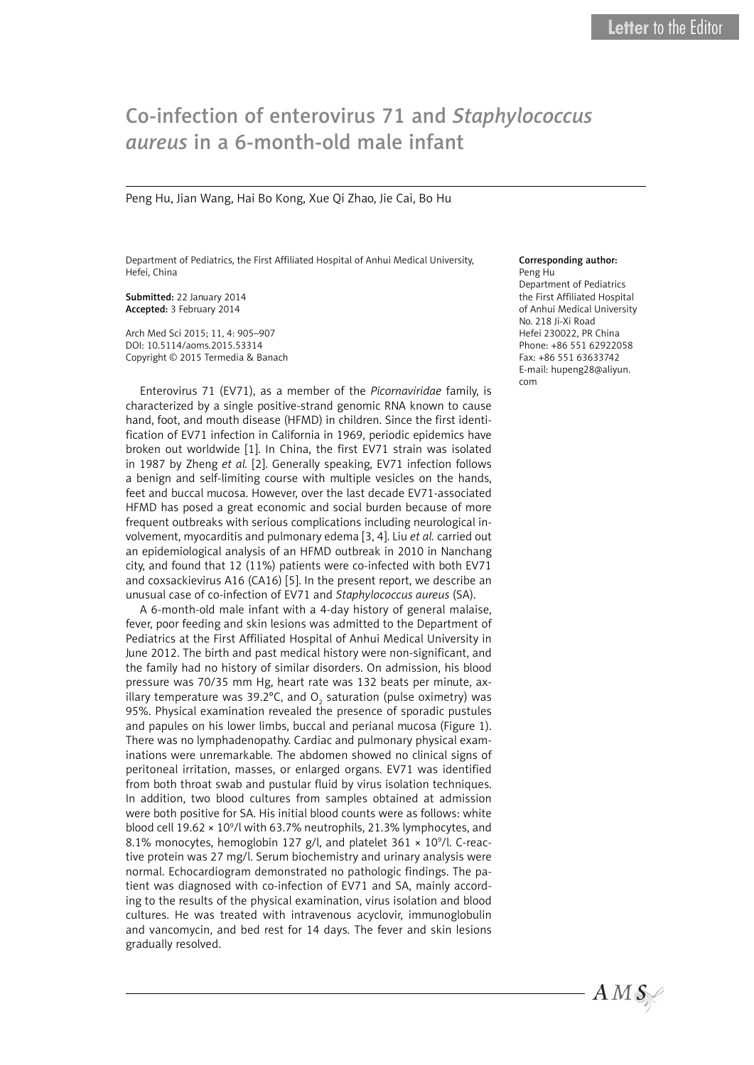## Co-infection of enterovirus 71 and *Staphylococcus aureus* in a 6-month-old male infant

Peng Hu, Jian Wang, Hai Bo Kong, Xue Qi Zhao, Jie Cai, Bo Hu

Department of Pediatrics, the First Affiliated Hospital of Anhui Medical University, Hefei, China

Submitted: 22 January 2014 Accepted: 3 February 2014

Arch Med Sci 2015; 11, 4: 905–907 DOI: 10.5114/aoms.2015.53314 Copyright © 2015 Termedia & Banach

Enterovirus 71 (EV71), as a member of the *Picornaviridae* family, is characterized by a single positive-strand genomic RNA known to cause hand, foot, and mouth disease (HFMD) in children. Since the first identification of EV71 infection in California in 1969, periodic epidemics have broken out worldwide [1]. In China, the first EV71 strain was isolated in 1987 by Zheng *et al.* [2]. Generally speaking, EV71 infection follows a benign and self-limiting course with multiple vesicles on the hands, feet and buccal mucosa. However, over the last decade EV71-associated HFMD has posed a great economic and social burden because of more frequent outbreaks with serious complications including neurological involvement, myocarditis and pulmonary edema [3, 4]. Liu *et al.* carried out an epidemiological analysis of an HFMD outbreak in 2010 in Nanchang city, and found that 12 (11%) patients were co-infected with both EV71 and coxsackievirus A16 (CA16) [5]. In the present report, we describe an unusual case of co-infection of EV71 and *Staphylococcus aureus* (SA).

A 6-month-old male infant with a 4-day history of general malaise, fever, poor feeding and skin lesions was admitted to the Department of Pediatrics at the First Affiliated Hospital of Anhui Medical University in June 2012. The birth and past medical history were non-significant, and the family had no history of similar disorders. On admission, his blood pressure was 70/35 mm Hg, heart rate was 132 beats per minute, axillary temperature was 39.2°C, and O<sub>2</sub> saturation (pulse oximetry) was 95%. Physical examination revealed the presence of sporadic pustules and papules on his lower limbs, buccal and perianal mucosa (Figure 1). There was no lymphadenopathy. Cardiac and pulmonary physical examinations were unremarkable. The abdomen showed no clinical signs of peritoneal irritation, masses, or enlarged organs. EV71 was identified from both throat swab and pustular fluid by virus isolation techniques. In addition, two blood cultures from samples obtained at admission were both positive for SA. His initial blood counts were as follows: white blood cell  $19.62 \times 10^9$ /l with 63.7% neutrophils, 21.3% lymphocytes, and 8.1% monocytes, hemoglobin 127 g/l, and platelet  $361 \times 10^9$ /l. C-reactive protein was 27 mg/l. Serum biochemistry and urinary analysis were normal. Echocardiogram demonstrated no pathologic findings. The patient was diagnosed with co-infection of EV71 and SA, mainly according to the results of the physical examination, virus isolation and blood cultures. He was treated with intravenous acyclovir, immunoglobulin and vancomycin, and bed rest for 14 days. The fever and skin lesions gradually resolved.

## Corresponding author:

Peng Hu Department of Pediatrics the First Affiliated Hospital of Anhui Medical University No. 218 Ji-Xi Road Hefei 230022, PR China Phone: +86 551 62922058 Fax: +86 551 63633742 E-mail: hupeng28@aliyun. com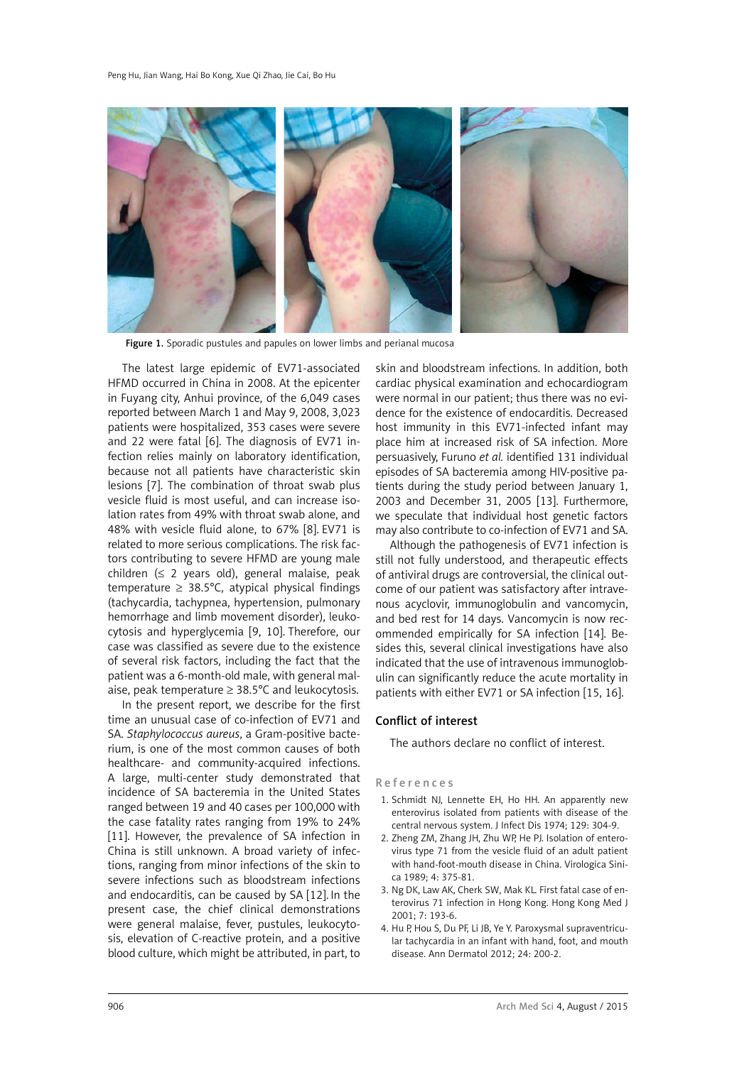

Figure 1. Sporadic pustules and papules on lower limbs and perianal mucosa

The latest large epidemic of EV71-associated HFMD occurred in China in 2008. At the epicenter in Fuyang city, Anhui province, of the 6,049 cases reported between March 1 and May 9, 2008, 3,023 patients were hospitalized, 353 cases were severe and 22 were fatal [6]. The diagnosis of EV71 infection relies mainly on laboratory identification, because not all patients have characteristic skin lesions [7]. The combination of throat swab plus vesicle fluid is most useful, and can increase isolation rates from 49% with throat swab alone, and 48% with vesicle fluid alone, to 67% [8]. EV71 is related to more serious complications. The risk factors contributing to severe HFMD are young male children  $( \leq 2$  years old), general malaise, peak temperature  $\geq 38.5^{\circ}$ C, atypical physical findings (tachycardia, tachypnea, hypertension, pulmonary hemorrhage and limb movement disorder), leukocytosis and hyperglycemia [9, 10]. Therefore, our case was classified as severe due to the existence of several risk factors, including the fact that the patient was a 6-month-old male, with general malaise, peak temperature ≥ 38.5°C and leukocytosis.

In the present report, we describe for the first time an unusual case of co-infection of EV71 and SA. *Staphylococcus aureus*, a Gram-positive bacterium, is one of the most common causes of both healthcare- and community-acquired infections. A large, multi-center study demonstrated that incidence of SA bacteremia in the United States ranged between 19 and 40 cases per 100,000 with the case fatality rates ranging from 19% to 24% [11]. However, the prevalence of SA infection in China is still unknown. A broad variety of infections, ranging from minor infections of the skin to severe infections such as bloodstream infections and endocarditis, can be caused by SA [12]. In the present case, the chief clinical demonstrations were general malaise, fever, pustules, leukocytosis, elevation of C-reactive protein, and a positive blood culture, which might be attributed, in part, to

skin and bloodstream infections. In addition, both cardiac physical examination and echocardiogram were normal in our patient; thus there was no evidence for the existence of endocarditis. Decreased host immunity in this EV71-infected infant may place him at increased risk of SA infection. More persuasively, Furuno *et al.* identified 131 individual episodes of SA bacteremia among HIV-positive patients during the study period between January 1, 2003 and December 31, 2005 [13]. Furthermore, we speculate that individual host genetic factors may also contribute to co-infection of EV71 and SA.

Although the pathogenesis of EV71 infection is still not fully understood, and therapeutic effects of antiviral drugs are controversial, the clinical outcome of our patient was satisfactory after intravenous acyclovir, immunoglobulin and vancomycin, and bed rest for 14 days. Vancomycin is now recommended empirically for SA infection [14]. Besides this, several clinical investigations have also indicated that the use of intravenous immunoglobulin can significantly reduce the acute mortality in patients with either EV71 or SA infection [15, 16].

## Conflict of interest

The authors declare no conflict of interest.

## References

- 1. Schmidt NJ, Lennette EH, Ho HH. An apparently new enterovirus isolated from patients with disease of the central nervous system. J Infect Dis 1974; 129: 304-9.
- 2. Zheng ZM, Zhang JH, Zhu WP, He PJ. Isolation of enterovirus type 71 from the vesicle fluid of an adult patient with hand-foot-mouth disease in China. Virologica Sinica 1989; 4: 375-81.
- 3. Ng DK, Law AK, Cherk SW, Mak KL. First fatal case of enterovirus 71 infection in Hong Kong. Hong Kong Med J 2001; 7: 193-6.
- 4. Hu P, Hou S, Du PF, Li JB, Ye Y. Paroxysmal supraventricular tachycardia in an infant with hand, foot, and mouth disease. Ann Dermatol 2012; 24: 200-2.